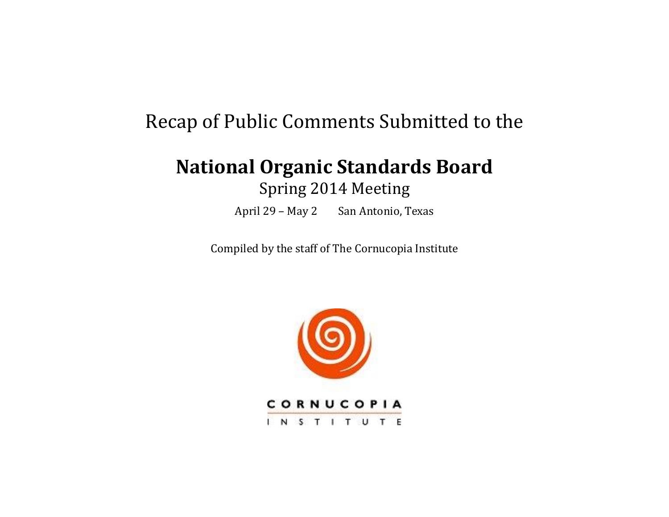## Recap of Public Comments Submitted to the

# **National Organic Standards Board**

## Spring 2014 Meeting

April 29 – May 2 San Antonio, Texas

Compiled by the staff of The Cornucopia Institute

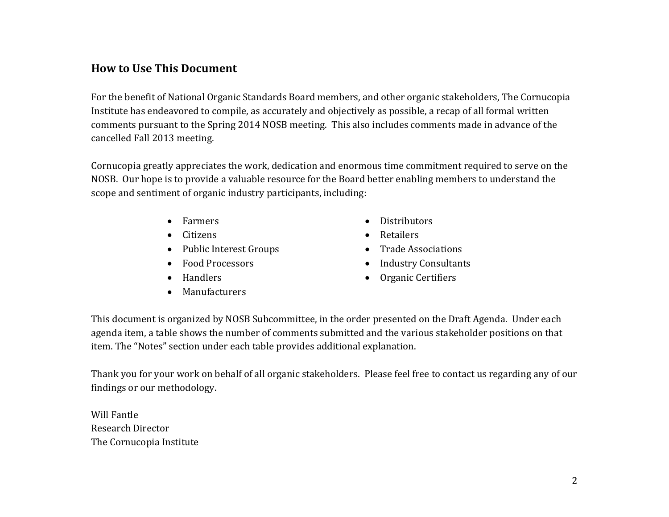#### **How to Use This Document**

For the benefit of National Organic Standards Board members, and other organic stakeholders, The Cornucopia Institute has endeavored to compile, as accurately and objectively as possible, a recap of all formal written comments pursuant to the Spring 2014 NOSB meeting. This also includes comments made in advance of the cancelled Fall 2013 meeting.

Cornucopia greatly appreciates the work, dedication and enormous time commitment required to serve on the NOSB. Our hope is to provide a valuable resource for the Board better enabling members to understand the scope and sentiment of organic industry participants, including:

- Farmers
- Citizens
- Public Interest Groups
- Food Processors
- Handlers
- Manufacturers
- Distributors
- Retailers
- Trade Associations
- Industry Consultants
- Organic Certifiers

This document is organized by NOSB Subcommittee, in the order presented on the Draft Agenda. Under each agenda item, a table shows the number of comments submitted and the various stakeholder positions on that item. The "Notes" section under each table provides additional explanation.

Thank you for your work on behalf of all organic stakeholders. Please feel free to contact us regarding any of our findings or our methodology.

Will Fantle Research Director The Cornucopia Institute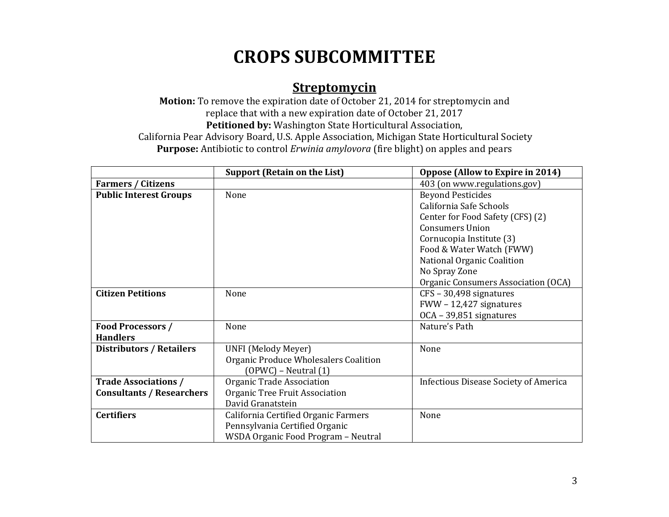## **CROPS SUBCOMMITTEE**

### **Streptomycin**

**Motion:** To remove the expiration date of October 21, 2014 for streptomycin and replace that with a new expiration date of October 21, 2017 **Petitioned by:** Washington State Horticultural Association, California Pear Advisory Board, U.S. Apple Association, Michigan State Horticultural Society **Purpose:** Antibiotic to control *Erwinia amylovora* (fire blight) on apples and pears

|                                  | <b>Support (Retain on the List)</b>   | Oppose (Allow to Expire in 2014)      |
|----------------------------------|---------------------------------------|---------------------------------------|
| <b>Farmers / Citizens</b>        |                                       | 403 (on www.regulations.gov)          |
| <b>Public Interest Groups</b>    | None                                  | <b>Beyond Pesticides</b>              |
|                                  |                                       | California Safe Schools               |
|                                  |                                       | Center for Food Safety (CFS) (2)      |
|                                  |                                       | <b>Consumers Union</b>                |
|                                  |                                       | Cornucopia Institute (3)              |
|                                  |                                       | Food & Water Watch (FWW)              |
|                                  |                                       | National Organic Coalition            |
|                                  |                                       | No Spray Zone                         |
|                                  |                                       | Organic Consumers Association (OCA)   |
| <b>Citizen Petitions</b>         | None                                  | $CFS - 30,498$ signatures             |
|                                  |                                       | $FWW - 12,427$ signatures             |
|                                  |                                       | OCA - 39,851 signatures               |
| <b>Food Processors /</b>         | None                                  | Nature's Path                         |
| <b>Handlers</b>                  |                                       |                                       |
| <b>Distributors / Retailers</b>  | <b>UNFI</b> (Melody Meyer)            | None                                  |
|                                  | Organic Produce Wholesalers Coalition |                                       |
|                                  | $(OPWC)$ – Neutral $(1)$              |                                       |
| <b>Trade Associations /</b>      | Organic Trade Association             | Infectious Disease Society of America |
| <b>Consultants / Researchers</b> | Organic Tree Fruit Association        |                                       |
|                                  | David Granatstein                     |                                       |
| <b>Certifiers</b>                | California Certified Organic Farmers  | None                                  |
|                                  | Pennsylvania Certified Organic        |                                       |
|                                  | WSDA Organic Food Program - Neutral   |                                       |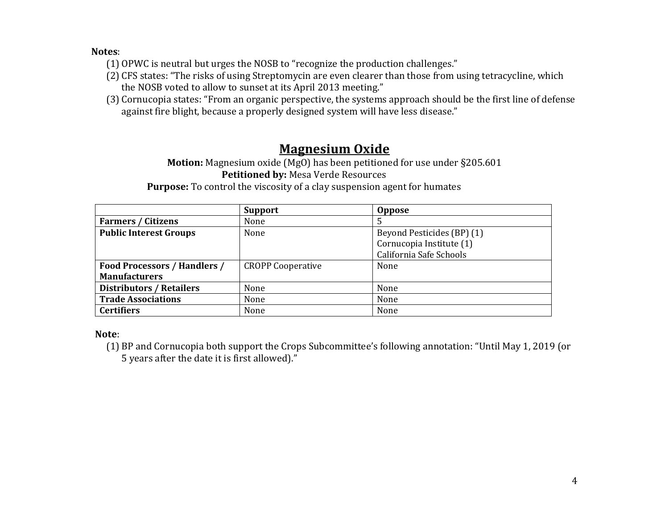#### **Notes**:

- (1) OPWC is neutral but urges the NOSB to "recognize the production challenges."
- (2) CFS states: "The risks of using Streptomycin are even clearer than those from using tetracycline, which the NOSB voted to allow to sunset at its April 2013 meeting."
- (3) Cornucopia states: "From an organic perspective, the systems approach should be the first line of defense against fire blight, because a properly designed system will have less disease."

### **Magnesium Oxide**

**Motion:** Magnesium oxide (MgO) has been petitioned for use under §205.601 **Petitioned by:** Mesa Verde Resources

**Purpose:** To control the viscosity of a clay suspension agent for humates

|                                     | <b>Support</b>           | <b>Oppose</b>              |
|-------------------------------------|--------------------------|----------------------------|
| <b>Farmers / Citizens</b>           | None                     | 5                          |
| <b>Public Interest Groups</b>       | None                     | Beyond Pesticides (BP) (1) |
|                                     |                          | Cornucopia Institute (1)   |
|                                     |                          | California Safe Schools    |
| <b>Food Processors / Handlers /</b> | <b>CROPP Cooperative</b> | None                       |
| <b>Manufacturers</b>                |                          |                            |
| <b>Distributors / Retailers</b>     | None                     | None                       |
| <b>Trade Associations</b>           | None                     | None                       |
| <b>Certifiers</b>                   | None                     | None                       |

#### **Note**:

(1) BP and Cornucopia both support the Crops Subcommittee's following annotation: "Until May 1, 2019 (or 5 years after the date it is first allowed)."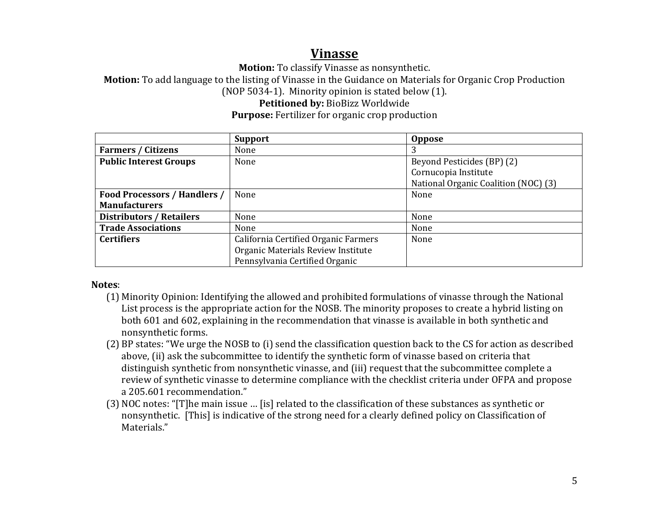### **Vinasse**

**Motion:** To classify Vinasse as nonsynthetic.

**Motion:** To add language to the listing of Vinasse in the Guidance on Materials for Organic Crop Production

(NOP 5034-1). Minority opinion is stated below (1).

#### **Petitioned by:** BioBizz Worldwide

**Purpose:** Fertilizer for organic crop production

|                                     | <b>Support</b>                       | <b>Oppose</b>                        |
|-------------------------------------|--------------------------------------|--------------------------------------|
| <b>Farmers / Citizens</b>           | None                                 |                                      |
| <b>Public Interest Groups</b>       | None                                 | Beyond Pesticides (BP) (2)           |
|                                     |                                      | Cornucopia Institute                 |
|                                     |                                      | National Organic Coalition (NOC) (3) |
| <b>Food Processors / Handlers /</b> | None                                 | None                                 |
| <b>Manufacturers</b>                |                                      |                                      |
| <b>Distributors / Retailers</b>     | None                                 | None                                 |
| <b>Trade Associations</b>           | None                                 | None                                 |
| <b>Certifiers</b>                   | California Certified Organic Farmers | None                                 |
|                                     | Organic Materials Review Institute   |                                      |
|                                     | Pennsylvania Certified Organic       |                                      |

- (1) Minority Opinion: Identifying the allowed and prohibited formulations of vinasse through the National List process is the appropriate action for the NOSB. The minority proposes to create a hybrid listing on both 601 and 602, explaining in the recommendation that vinasse is available in both synthetic and nonsynthetic forms.
- (2) BP states: "We urge the NOSB to (i) send the classification question back to the CS for action as described above, (ii) ask the subcommittee to identify the synthetic form of vinasse based on criteria that distinguish synthetic from nonsynthetic vinasse, and (iii) request that the subcommittee complete a review of synthetic vinasse to determine compliance with the checklist criteria under OFPA and propose a 205.601 recommendation."
- (3) NOC notes: "[T]he main issue … [is] related to the classification of these substances as synthetic or nonsynthetic. [This] is indicative of the strong need for a clearly defined policy on Classification of Materials."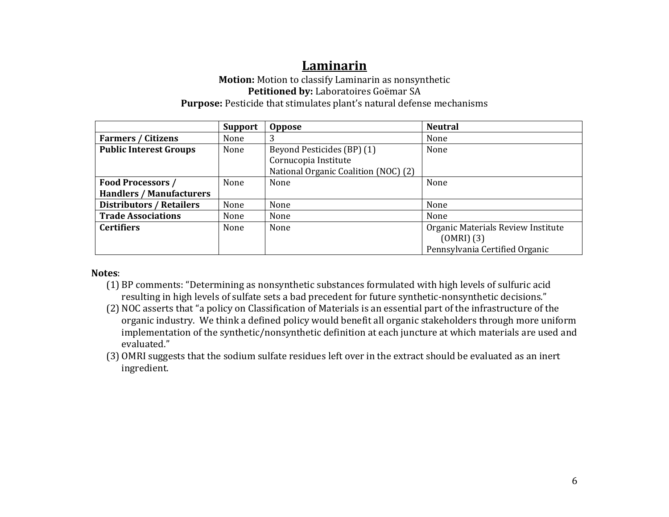### **Laminarin**

#### **Motion:** Motion to classify Laminarin as nonsynthetic **Petitioned by:** Laboratoires Goëmar SA **Purpose:** Pesticide that stimulates plant's natural defense mechanisms

|                                 | <b>Support</b> | <b>Oppose</b>                        | <b>Neutral</b>                     |
|---------------------------------|----------------|--------------------------------------|------------------------------------|
| <b>Farmers / Citizens</b>       | None           | 3                                    | None                               |
| <b>Public Interest Groups</b>   | None           | Beyond Pesticides (BP) (1)           | None                               |
|                                 |                | Cornucopia Institute                 |                                    |
|                                 |                | National Organic Coalition (NOC) (2) |                                    |
| <b>Food Processors /</b>        | None           | None                                 | None                               |
| <b>Handlers / Manufacturers</b> |                |                                      |                                    |
| <b>Distributors / Retailers</b> | None           | None                                 | None                               |
| <b>Trade Associations</b>       | None           | None                                 | None                               |
| <b>Certifiers</b>               | None           | None                                 | Organic Materials Review Institute |
|                                 |                |                                      | $(OMRI)$ $(3)$                     |
|                                 |                |                                      | Pennsylvania Certified Organic     |

- (1) BP comments: "Determining as nonsynthetic substances formulated with high levels of sulfuric acid resulting in high levels of sulfate sets a bad precedent for future synthetic-nonsynthetic decisions."
- (2) NOC asserts that "a policy on Classification of Materials is an essential part of the infrastructure of the organic industry. We think a defined policy would benefit all organic stakeholders through more uniform implementation of the synthetic/nonsynthetic definition at each juncture at which materials are used and evaluated."
- (3) OMRI suggests that the sodium sulfate residues left over in the extract should be evaluated as an inert ingredient.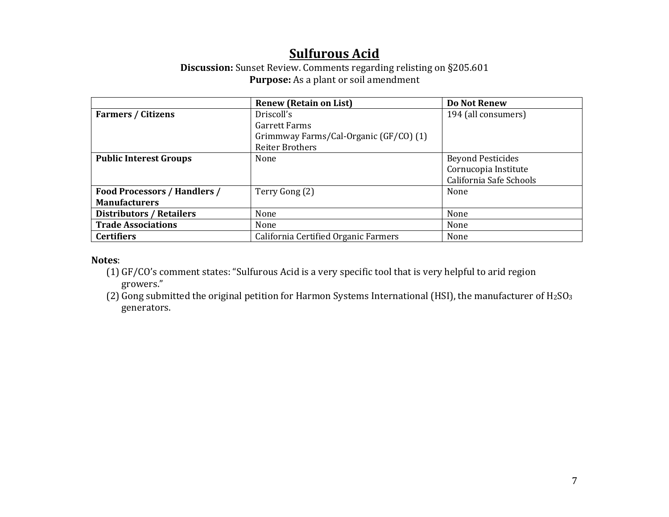## **Sulfurous Acid**

#### **Discussion:** Sunset Review. Comments regarding relisting on §205.601 **Purpose:** As a plant or soil amendment

|                                     | <b>Renew (Retain on List)</b>          | <b>Do Not Renew</b>      |
|-------------------------------------|----------------------------------------|--------------------------|
| <b>Farmers / Citizens</b>           | Driscoll's                             | 194 (all consumers)      |
|                                     | <b>Garrett Farms</b>                   |                          |
|                                     | Grimmway Farms/Cal-Organic (GF/CO) (1) |                          |
|                                     | <b>Reiter Brothers</b>                 |                          |
| <b>Public Interest Groups</b>       | None                                   | <b>Beyond Pesticides</b> |
|                                     |                                        | Cornucopia Institute     |
|                                     |                                        | California Safe Schools  |
| <b>Food Processors / Handlers /</b> | Terry Gong (2)                         | None                     |
| <b>Manufacturers</b>                |                                        |                          |
| <b>Distributors / Retailers</b>     | None                                   | None                     |
| <b>Trade Associations</b>           | None                                   | None                     |
| <b>Certifiers</b>                   | California Certified Organic Farmers   | None                     |

- (1) GF/CO's comment states: "Sulfurous Acid is a very specific tool that is very helpful to arid region growers."
- (2) Gong submitted the original petition for Harmon Systems International (HSI), the manufacturer of  $H_2SO_3$ generators.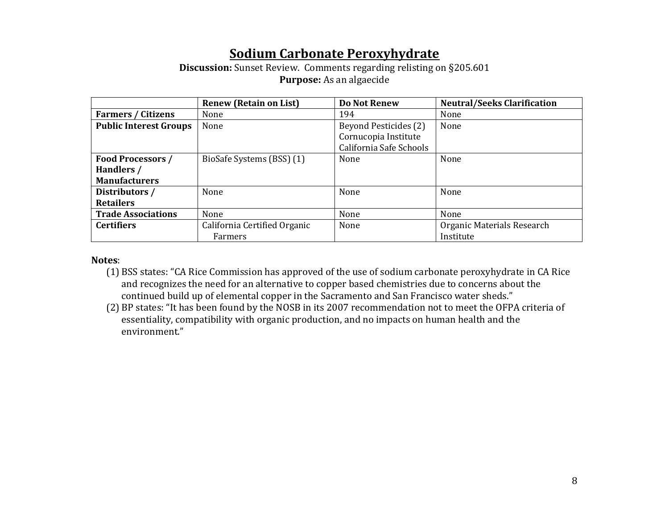## **Sodium Carbonate Peroxyhydrate**

#### **Discussion:** Sunset Review. Comments regarding relisting on §205.601 **Purpose:** As an algaecide

|                               | <b>Renew (Retain on List)</b> | <b>Do Not Renew</b>     | <b>Neutral/Seeks Clarification</b> |
|-------------------------------|-------------------------------|-------------------------|------------------------------------|
| <b>Farmers / Citizens</b>     | None                          | 194                     | None                               |
| <b>Public Interest Groups</b> | None                          | Beyond Pesticides (2)   | None                               |
|                               |                               | Cornucopia Institute    |                                    |
|                               |                               | California Safe Schools |                                    |
| Food Processors /             | BioSafe Systems (BSS) (1)     | None                    | None                               |
| Handlers /                    |                               |                         |                                    |
| <b>Manufacturers</b>          |                               |                         |                                    |
| Distributors /                | None                          | None                    | None                               |
| <b>Retailers</b>              |                               |                         |                                    |
| <b>Trade Associations</b>     | None                          | None                    | None                               |
| <b>Certifiers</b>             | California Certified Organic  | None                    | Organic Materials Research         |
|                               | Farmers                       |                         | Institute                          |

- (1) BSS states: "CA Rice Commission has approved of the use of sodium carbonate peroxyhydrate in CA Rice and recognizes the need for an alternative to copper based chemistries due to concerns about the continued build up of elemental copper in the Sacramento and San Francisco water sheds."
- (2) BP states: "It has been found by the NOSB in its 2007 recommendation not to meet the OFPA criteria of essentiality, compatibility with organic production, and no impacts on human health and the environment."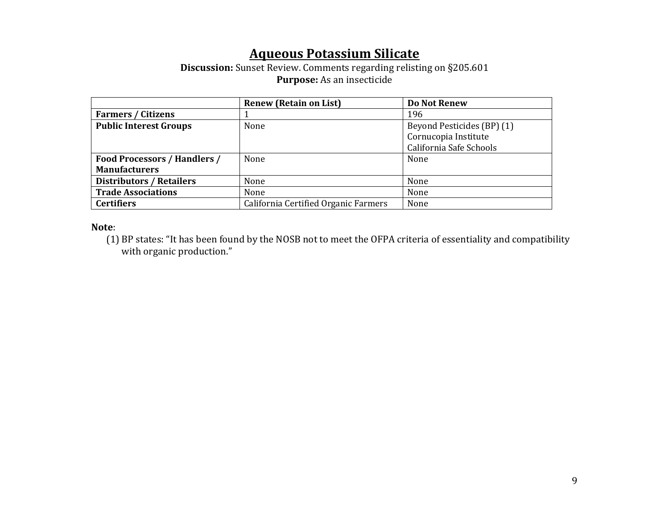## **Aqueous Potassium Silicate**

#### **Discussion:** Sunset Review. Comments regarding relisting on §205.601 **Purpose:** As an insecticide

|                                     | <b>Renew (Retain on List)</b>        | <b>Do Not Renew</b>        |
|-------------------------------------|--------------------------------------|----------------------------|
| <b>Farmers / Citizens</b>           |                                      | 196                        |
| <b>Public Interest Groups</b>       | None                                 | Beyond Pesticides (BP) (1) |
|                                     |                                      | Cornucopia Institute       |
|                                     |                                      | California Safe Schools    |
| <b>Food Processors / Handlers /</b> | None                                 | None                       |
| <b>Manufacturers</b>                |                                      |                            |
| <b>Distributors / Retailers</b>     | None                                 | None                       |
| <b>Trade Associations</b>           | None                                 | None                       |
| <b>Certifiers</b>                   | California Certified Organic Farmers | None                       |

**Note**:

(1) BP states: "It has been found by the NOSB not to meet the OFPA criteria of essentiality and compatibility with organic production."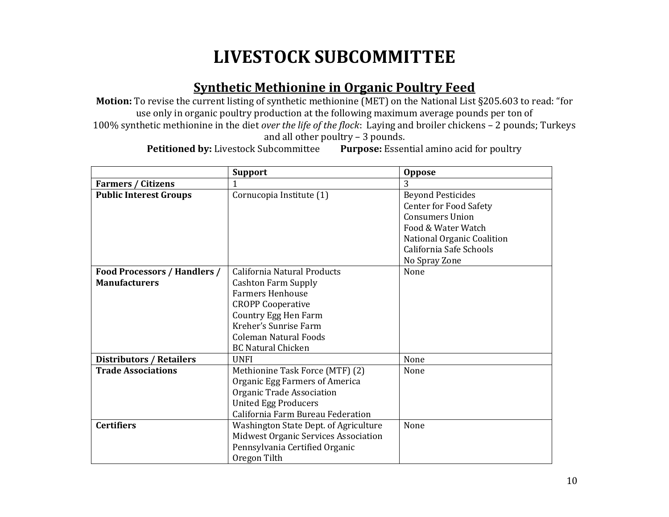## **LIVESTOCK SUBCOMMITTEE**

## **Synthetic Methionine in Organic Poultry Feed**

**Motion:** To revise the current listing of synthetic methionine (MET) on the National List §205.603 to read: "for use only in organic poultry production at the following maximum average pounds per ton of 100% synthetic methionine in the diet *over the life of the flock*: Laying and broiler chickens – 2 pounds; Turkeys and all other poultry – 3 pounds.

**Petitioned by:** Livestock Subcommittee Purpose: Essential amino acid for poultry

|                                     | <b>Support</b>                        | <b>Oppose</b>                 |
|-------------------------------------|---------------------------------------|-------------------------------|
| <b>Farmers / Citizens</b>           | 1                                     | 3                             |
| <b>Public Interest Groups</b>       | Cornucopia Institute (1)              | <b>Beyond Pesticides</b>      |
|                                     |                                       | <b>Center for Food Safety</b> |
|                                     |                                       | <b>Consumers Union</b>        |
|                                     |                                       | Food & Water Watch            |
|                                     |                                       | National Organic Coalition    |
|                                     |                                       | California Safe Schools       |
|                                     |                                       | No Spray Zone                 |
| <b>Food Processors / Handlers /</b> | California Natural Products           | None                          |
| <b>Manufacturers</b>                | <b>Cashton Farm Supply</b>            |                               |
|                                     | <b>Farmers Henhouse</b>               |                               |
|                                     | <b>CROPP Cooperative</b>              |                               |
|                                     | <b>Country Egg Hen Farm</b>           |                               |
|                                     | Kreher's Sunrise Farm                 |                               |
|                                     | <b>Coleman Natural Foods</b>          |                               |
|                                     | <b>BC Natural Chicken</b>             |                               |
| <b>Distributors / Retailers</b>     | <b>UNFI</b>                           | None                          |
| <b>Trade Associations</b>           | Methionine Task Force (MTF) (2)       | None                          |
|                                     | Organic Egg Farmers of America        |                               |
|                                     | Organic Trade Association             |                               |
|                                     | <b>United Egg Producers</b>           |                               |
|                                     | California Farm Bureau Federation     |                               |
| <b>Certifiers</b>                   | Washington State Dept. of Agriculture | None                          |
|                                     | Midwest Organic Services Association  |                               |
|                                     | Pennsylvania Certified Organic        |                               |
|                                     | Oregon Tilth                          |                               |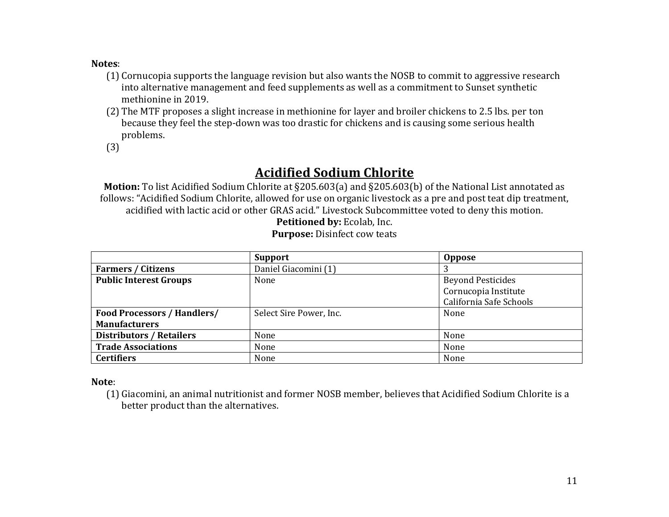#### **Notes**:

- (1) Cornucopia supports the language revision but also wants the NOSB to commit to aggressive research into alternative management and feed supplements as well as a commitment to Sunset synthetic methionine in 2019.
- (2) The MTF proposes a slight increase in methionine for layer and broiler chickens to 2.5 lbs. per ton because they feel the step-down was too drastic for chickens and is causing some serious health problems.

(3)

### **Acidified Sodium Chlorite**

**Motion:** To list Acidified Sodium Chlorite at §205.603(a) and §205.603(b) of the National List annotated as follows: "Acidified Sodium Chlorite, allowed for use on organic livestock as a pre and post teat dip treatment, acidified with lactic acid or other GRAS acid." Livestock Subcommittee voted to deny this motion.

**Petitioned by:** Ecolab, Inc.

|                                    | <b>Support</b>          | <b>Oppose</b>            |
|------------------------------------|-------------------------|--------------------------|
| <b>Farmers / Citizens</b>          | Daniel Giacomini (1)    |                          |
| <b>Public Interest Groups</b>      | None                    | <b>Beyond Pesticides</b> |
|                                    |                         | Cornucopia Institute     |
|                                    |                         | California Safe Schools  |
| <b>Food Processors / Handlers/</b> | Select Sire Power, Inc. | None                     |
| <b>Manufacturers</b>               |                         |                          |
| <b>Distributors / Retailers</b>    | None                    | None                     |
| <b>Trade Associations</b>          | None                    | None                     |
| <b>Certifiers</b>                  | None                    | None                     |

**Purpose:** Disinfect cow teats

#### **Note**:

(1) Giacomini, an animal nutritionist and former NOSB member, believes that Acidified Sodium Chlorite is a better product than the alternatives.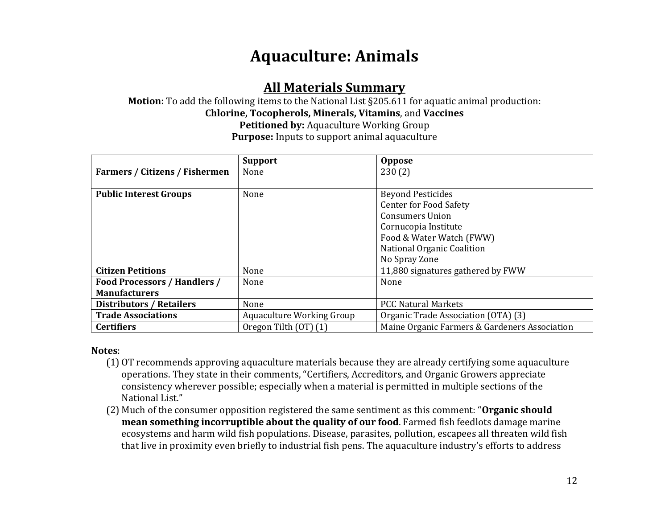## **Aquaculture: Animals**

### **All Materials Summary**

**Motion:** To add the following items to the National List §205.611 for aquatic animal production: **Chlorine, Tocopherols, Minerals, Vitamins**, and **Vaccines Petitioned by:** Aquaculture Working Group **Purpose:** Inputs to support animal aquaculture

|                                                             | <b>Support</b>                   | <b>Oppose</b>                                                                                                                                                                          |
|-------------------------------------------------------------|----------------------------------|----------------------------------------------------------------------------------------------------------------------------------------------------------------------------------------|
| <b>Farmers / Citizens / Fishermen</b>                       | None                             | 230(2)                                                                                                                                                                                 |
| <b>Public Interest Groups</b>                               | None                             | <b>Beyond Pesticides</b><br><b>Center for Food Safety</b><br><b>Consumers Union</b><br>Cornucopia Institute<br>Food & Water Watch (FWW)<br>National Organic Coalition<br>No Spray Zone |
| <b>Citizen Petitions</b>                                    | None                             | 11,880 signatures gathered by FWW                                                                                                                                                      |
| <b>Food Processors / Handlers /</b><br><b>Manufacturers</b> | None                             | None                                                                                                                                                                                   |
| <b>Distributors / Retailers</b>                             | None                             | <b>PCC Natural Markets</b>                                                                                                                                                             |
| <b>Trade Associations</b>                                   | <b>Aquaculture Working Group</b> | Organic Trade Association (OTA) (3)                                                                                                                                                    |
| <b>Certifiers</b>                                           | Oregon Tilth (OT) (1)            | Maine Organic Farmers & Gardeners Association                                                                                                                                          |

- (1) OT recommends approving aquaculture materials because they are already certifying some aquaculture operations. They state in their comments, "Certifiers, Accreditors, and Organic Growers appreciate consistency wherever possible; especially when a material is permitted in multiple sections of the National List."
- (2) Much of the consumer opposition registered the same sentiment as this comment: "**Organic should mean something incorruptible about the quality of our food**. Farmed fish feedlots damage marine ecosystems and harm wild fish populations. Disease, parasites, pollution, escapees all threaten wild fish that live in proximity even briefly to industrial fish pens. The aquaculture industry's efforts to address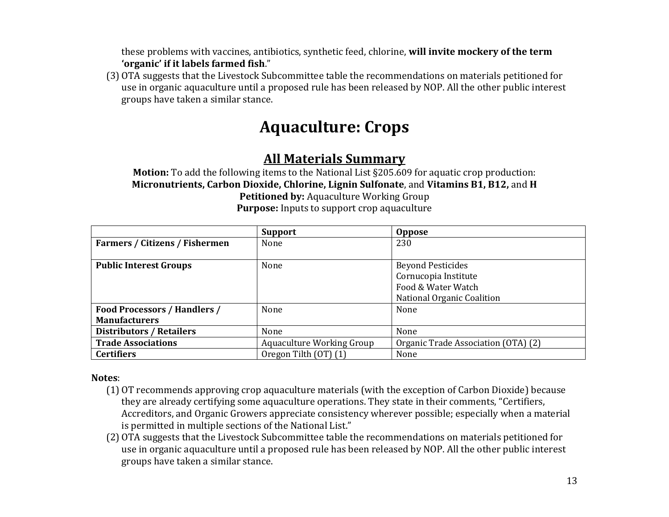these problems with vaccines, antibiotics, synthetic feed, chlorine, **will invite mockery of the term 'organic' if it labels farmed fish**."

(3) OTA suggests that the Livestock Subcommittee table the recommendations on materials petitioned for use in organic aquaculture until a proposed rule has been released by NOP. All the other public interest groups have taken a similar stance.

## **Aquaculture: Crops**

### **All Materials Summary**

**Motion:** To add the following items to the National List §205.609 for aquatic crop production: **Micronutrients, Carbon Dioxide, Chlorine, Lignin Sulfonate**, and **Vitamins B1, B12,** and **H Petitioned by:** Aquaculture Working Group **Purpose:** Inputs to support crop aquaculture

|                                       | <b>Support</b>                   | <b>Oppose</b>                       |
|---------------------------------------|----------------------------------|-------------------------------------|
| <b>Farmers / Citizens / Fishermen</b> | None                             | 230                                 |
|                                       |                                  |                                     |
| <b>Public Interest Groups</b>         | None                             | <b>Beyond Pesticides</b>            |
|                                       |                                  | Cornucopia Institute                |
|                                       |                                  | Food & Water Watch                  |
|                                       |                                  | National Organic Coalition          |
| <b>Food Processors / Handlers /</b>   | None                             | None                                |
| <b>Manufacturers</b>                  |                                  |                                     |
| <b>Distributors / Retailers</b>       | None                             | None                                |
| <b>Trade Associations</b>             | <b>Aquaculture Working Group</b> | Organic Trade Association (OTA) (2) |
| <b>Certifiers</b>                     | Oregon Tilth (OT) (1)            | None                                |

- (1) OT recommends approving crop aquaculture materials (with the exception of Carbon Dioxide) because they are already certifying some aquaculture operations. They state in their comments, "Certifiers, Accreditors, and Organic Growers appreciate consistency wherever possible; especially when a material is permitted in multiple sections of the National List."
- (2) OTA suggests that the Livestock Subcommittee table the recommendations on materials petitioned for use in organic aquaculture until a proposed rule has been released by NOP. All the other public interest groups have taken a similar stance.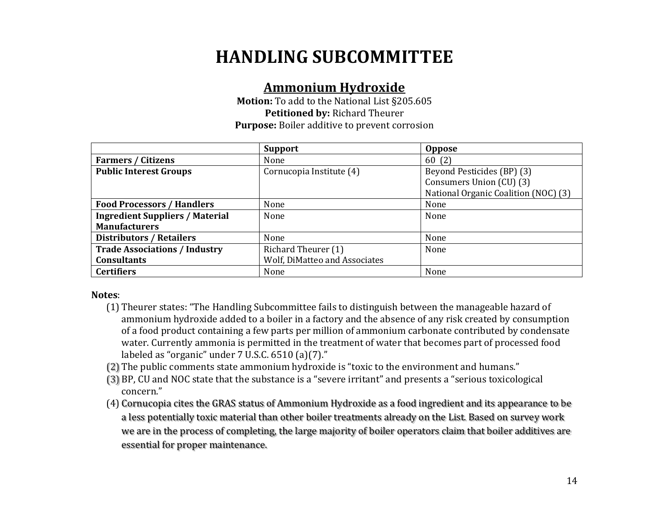## **HANDLING SUBCOMMITTEE**

### **Ammonium Hydroxide**

**Motion:** To add to the National List §205.605 **Petitioned by:** Richard Theurer **Purpose:** Boiler additive to prevent corrosion

|                                        | <b>Support</b>                | <b>Oppose</b>                        |
|----------------------------------------|-------------------------------|--------------------------------------|
| <b>Farmers / Citizens</b>              | None                          | 60(2)                                |
| <b>Public Interest Groups</b>          | Cornucopia Institute (4)      | Beyond Pesticides (BP) (3)           |
|                                        |                               | Consumers Union (CU) (3)             |
|                                        |                               | National Organic Coalition (NOC) (3) |
| <b>Food Processors / Handlers</b>      | None                          | None                                 |
| <b>Ingredient Suppliers / Material</b> | None                          | None                                 |
| <b>Manufacturers</b>                   |                               |                                      |
| <b>Distributors / Retailers</b>        | None                          | None                                 |
| <b>Trade Associations / Industry</b>   | Richard Theurer (1)           | None                                 |
| <b>Consultants</b>                     | Wolf, DiMatteo and Associates |                                      |
| <b>Certifiers</b>                      | None                          | None                                 |

- (1) Theurer states: "The Handling Subcommittee fails to distinguish between the manageable hazard of ammonium hydroxide added to a boiler in a factory and the absence of any risk created by consumption of a food product containing a few parts per million of ammonium carbonate contributed by condensate water. Currently ammonia is permitted in the treatment of water that becomes part of processed food labeled as "organic" under 7 U.S.C. 6510 (a)(7)."
- (2) The public comments state ammonium hydroxide is "toxic to the environment and humans."
- (3) BP, CU and NOC state that the substance is a "severe irritant" and presents a "serious toxicological concern."
- (4) Cornucopia cites the GRAS status of Ammonium Hydroxide as a food ingredient and its appearance to be a less potentially toxic material than other boiler treatments already on the List. Based on survey work we are in the process of completing, the large majority of boiler operators claim that boiler additives are essential for proper maintenance.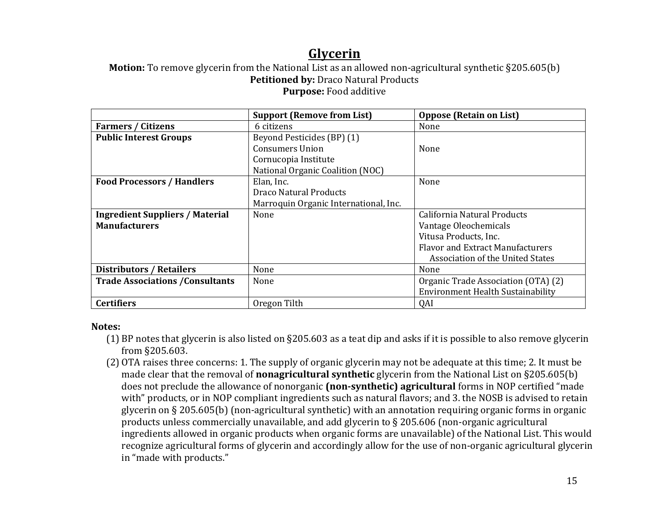## **Glycerin**

**Motion:** To remove glycerin from the National List as an allowed non-agricultural synthetic §205.605(b) **Petitioned by:** Draco Natural Products

**Purpose:** Food additive

|                                         | <b>Support (Remove from List)</b>     | <b>Oppose (Retain on List)</b>           |
|-----------------------------------------|---------------------------------------|------------------------------------------|
| <b>Farmers / Citizens</b>               | 6 citizens                            | None                                     |
| <b>Public Interest Groups</b>           | Beyond Pesticides (BP) (1)            |                                          |
|                                         | <b>Consumers Union</b>                | None                                     |
|                                         | Cornucopia Institute                  |                                          |
|                                         | National Organic Coalition (NOC)      |                                          |
| <b>Food Processors / Handlers</b>       | Elan, Inc.                            | None                                     |
|                                         | <b>Draco Natural Products</b>         |                                          |
|                                         | Marroquin Organic International, Inc. |                                          |
| <b>Ingredient Suppliers / Material</b>  | None                                  | California Natural Products              |
| <b>Manufacturers</b>                    |                                       | Vantage Oleochemicals                    |
|                                         |                                       | Vitusa Products, Inc.                    |
|                                         |                                       | <b>Flavor and Extract Manufacturers</b>  |
|                                         |                                       | Association of the United States         |
| <b>Distributors / Retailers</b>         | None                                  | None                                     |
| <b>Trade Associations / Consultants</b> | None                                  | Organic Trade Association (OTA) (2)      |
|                                         |                                       | <b>Environment Health Sustainability</b> |
| <b>Certifiers</b>                       | Oregon Tilth                          | QAI                                      |

- (1) BP notes that glycerin is also listed on §205.603 as a teat dip and asks if it is possible to also remove glycerin from §205.603.
- (2) OTA raises three concerns: 1. The supply of organic glycerin may not be adequate at this time; 2. It must be made clear that the removal of **nonagricultural synthetic** glycerin from the National List on §205.605(b) does not preclude the allowance of nonorganic **(non-synthetic) agricultural** forms in NOP certified "made with" products, or in NOP compliant ingredients such as natural flavors; and 3. the NOSB is advised to retain glycerin on § 205.605(b) (non-agricultural synthetic) with an annotation requiring organic forms in organic products unless commercially unavailable, and add glycerin to § 205.606 (non-organic agricultural ingredients allowed in organic products when organic forms are unavailable) of the National List. This would recognize agricultural forms of glycerin and accordingly allow for the use of non-organic agricultural glycerin in "made with products."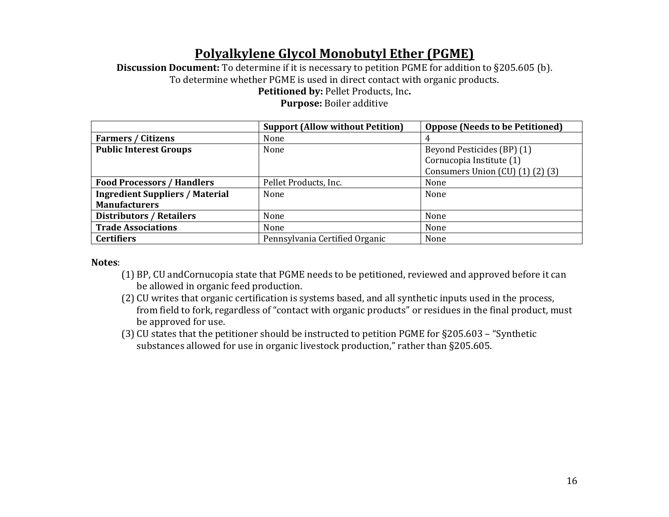## **Polyalkylene Glycol Monobutyl Ether (PGME)**

**Discussion Document:** To determine if it is necessary to petition PGME for addition to §205.605 (b).

To determine whether PGME is used in direct contact with organic products.

**Petitioned by:** Pellet Products, Inc**.**

**Purpose:** Boiler additive

|                                        | <b>Support (Allow without Petition)</b> | <b>Oppose (Needs to be Petitioned)</b>  |
|----------------------------------------|-----------------------------------------|-----------------------------------------|
| <b>Farmers / Citizens</b>              | None                                    |                                         |
| <b>Public Interest Groups</b>          | None                                    | Beyond Pesticides (BP) (1)              |
|                                        |                                         | Cornucopia Institute (1)                |
|                                        |                                         | Consumers Union $CU)$ $(1)$ $(2)$ $(3)$ |
| <b>Food Processors / Handlers</b>      | Pellet Products, Inc.                   | None                                    |
| <b>Ingredient Suppliers / Material</b> | None                                    | None                                    |
| <b>Manufacturers</b>                   |                                         |                                         |
| <b>Distributors / Retailers</b>        | None                                    | None                                    |
| <b>Trade Associations</b>              | None                                    | None                                    |
| <b>Certifiers</b>                      | Pennsylvania Certified Organic          | None                                    |

- (1) BP, CU andCornucopia state that PGME needs to be petitioned, reviewed and approved before it can be allowed in organic feed production.
- (2) CU writes that organic certification is systems based, and all synthetic inputs used in the process, from field to fork, regardless of "contact with organic products" or residues in the final product, must be approved for use.
- (3) CU states that the petitioner should be instructed to petition PGME for §205.603 "Synthetic substances allowed for use in organic livestock production," rather than §205.605.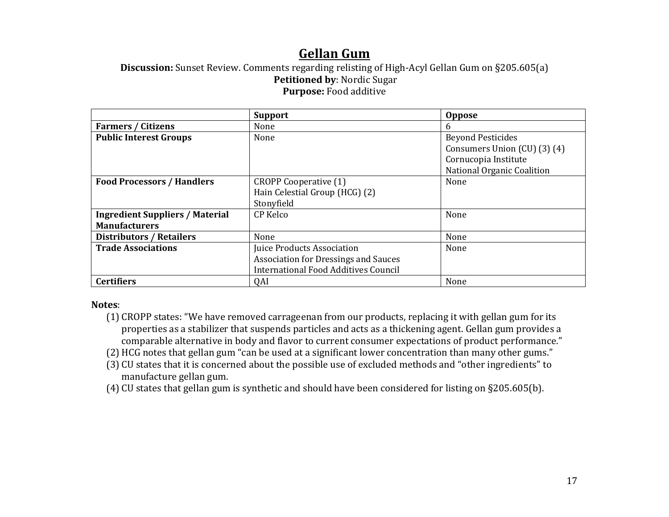## **Gellan Gum**

#### **Discussion:** Sunset Review. Comments regarding relisting of High-Acyl Gellan Gum on §205.605(a) **Petitioned by**: Nordic Sugar **Purpose:** Food additive

|                                        | <b>Support</b>                              | <b>Oppose</b>                |
|----------------------------------------|---------------------------------------------|------------------------------|
| <b>Farmers / Citizens</b>              | None                                        | 6                            |
| <b>Public Interest Groups</b>          | None                                        | <b>Beyond Pesticides</b>     |
|                                        |                                             | Consumers Union (CU) (3) (4) |
|                                        |                                             | Cornucopia Institute         |
|                                        |                                             | National Organic Coalition   |
| <b>Food Processors / Handlers</b>      | <b>CROPP Cooperative (1)</b>                | None                         |
|                                        | Hain Celestial Group (HCG) (2)              |                              |
|                                        | Stonyfield                                  |                              |
| <b>Ingredient Suppliers / Material</b> | CP Kelco                                    | None                         |
| <b>Manufacturers</b>                   |                                             |                              |
| <b>Distributors / Retailers</b>        | None                                        | None                         |
| <b>Trade Associations</b>              | Juice Products Association                  | None                         |
|                                        | <b>Association for Dressings and Sauces</b> |                              |
|                                        | International Food Additives Council        |                              |
| <b>Certifiers</b>                      | QAI                                         | None                         |

- (1) CROPP states: "We have removed carrageenan from our products, replacing it with gellan gum for its properties as a stabilizer that suspends particles and acts as a thickening agent. Gellan gum provides a comparable alternative in body and flavor to current consumer expectations of product performance."
- (2) HCG notes that gellan gum "can be used at a significant lower concentration than many other gums."
- (3) CU states that it is concerned about the possible use of excluded methods and "other ingredients" to manufacture gellan gum.
- (4) CU states that gellan gum is synthetic and should have been considered for listing on §205.605(b).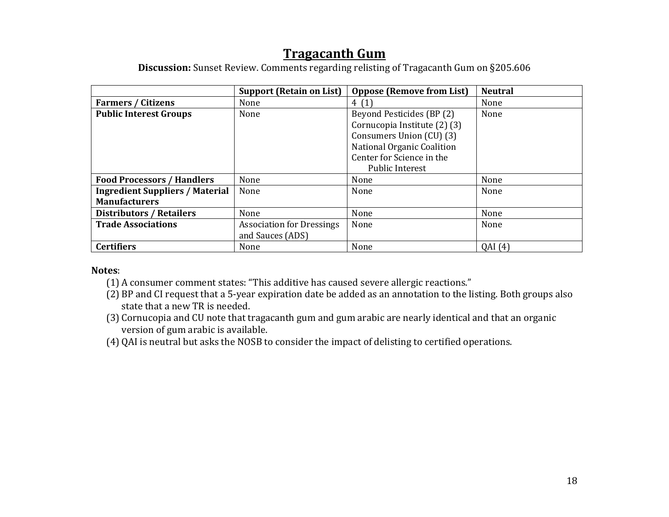## **Tragacanth Gum**

|                                        | <b>Support (Retain on List)</b>  | <b>Oppose (Remove from List)</b> | <b>Neutral</b> |
|----------------------------------------|----------------------------------|----------------------------------|----------------|
| <b>Farmers / Citizens</b>              | None                             | 4(1)                             | None           |
| <b>Public Interest Groups</b>          | None                             | Beyond Pesticides (BP (2)        | None           |
|                                        |                                  | Cornucopia Institute (2) (3)     |                |
|                                        |                                  | Consumers Union (CU) (3)         |                |
|                                        |                                  | National Organic Coalition       |                |
|                                        |                                  | Center for Science in the        |                |
|                                        |                                  | <b>Public Interest</b>           |                |
| <b>Food Processors / Handlers</b>      | None                             | None                             | None           |
| <b>Ingredient Suppliers / Material</b> | None                             | None                             | None           |
| <b>Manufacturers</b>                   |                                  |                                  |                |
| <b>Distributors / Retailers</b>        | None                             | None                             | None           |
| <b>Trade Associations</b>              | <b>Association for Dressings</b> | None                             | None           |
|                                        | and Sauces (ADS)                 |                                  |                |
| <b>Certifiers</b>                      | None                             | None                             | QAI(4)         |

**Discussion:** Sunset Review. Comments regarding relisting of Tragacanth Gum on §205.606

- (1) A consumer comment states: "This additive has caused severe allergic reactions."
- (2) BP and CI request that a 5-year expiration date be added as an annotation to the listing. Both groups also state that a new TR is needed.
- (3) Cornucopia and CU note that tragacanth gum and gum arabic are nearly identical and that an organic version of gum arabic is available.
- (4) QAI is neutral but asks the NOSB to consider the impact of delisting to certified operations.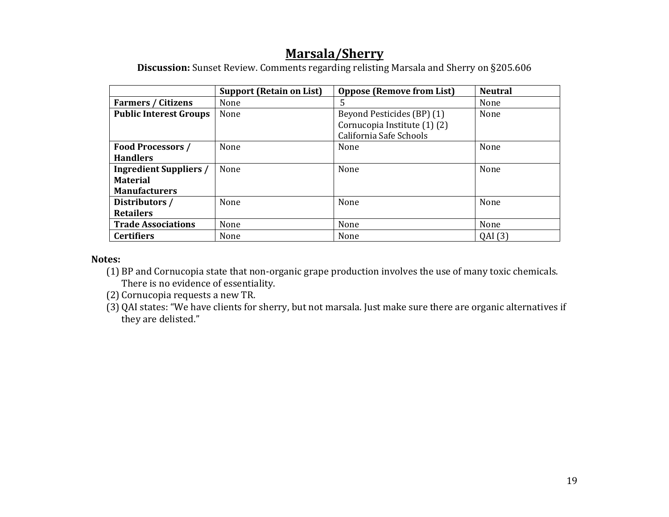## **Marsala/Sherry**

**Discussion:** Sunset Review. Comments regarding relisting Marsala and Sherry on §205.606

|                               | <b>Support (Retain on List)</b> | <b>Oppose (Remove from List)</b> | <b>Neutral</b> |
|-------------------------------|---------------------------------|----------------------------------|----------------|
| <b>Farmers / Citizens</b>     | None                            | 5                                | None           |
| <b>Public Interest Groups</b> | None                            | Beyond Pesticides (BP) (1)       | None           |
|                               |                                 | Cornucopia Institute (1) (2)     |                |
|                               |                                 | California Safe Schools          |                |
| <b>Food Processors /</b>      | None                            | None                             | None           |
| <b>Handlers</b>               |                                 |                                  |                |
| <b>Ingredient Suppliers /</b> | None                            | None                             | None           |
| <b>Material</b>               |                                 |                                  |                |
| <b>Manufacturers</b>          |                                 |                                  |                |
| Distributors /                | None                            | None                             | None           |
| <b>Retailers</b>              |                                 |                                  |                |
| <b>Trade Associations</b>     | None                            | None                             | None           |
| <b>Certifiers</b>             | None                            | None                             | QAI(3)         |

- (1) BP and Cornucopia state that non-organic grape production involves the use of many toxic chemicals. There is no evidence of essentiality.
- (2) Cornucopia requests a new TR.
- (3) QAI states: "We have clients for sherry, but not marsala. Just make sure there are organic alternatives if they are delisted."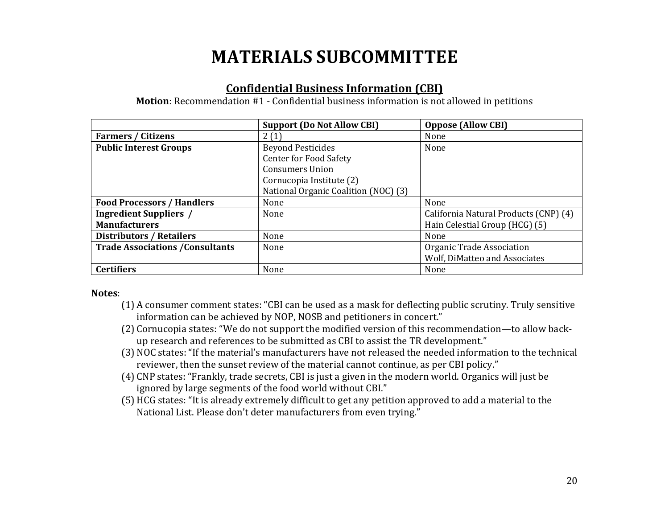## **MATERIALS SUBCOMMITTEE**

#### **Confidential Business Information (CBI)**

**Motion**: Recommendation #1 - Confidential business information is not allowed in petitions

|                                         | <b>Support (Do Not Allow CBI)</b>    | <b>Oppose (Allow CBI)</b>             |
|-----------------------------------------|--------------------------------------|---------------------------------------|
| <b>Farmers / Citizens</b>               | 2(1)                                 | None                                  |
| <b>Public Interest Groups</b>           | <b>Beyond Pesticides</b>             | None                                  |
|                                         | <b>Center for Food Safety</b>        |                                       |
|                                         | <b>Consumers Union</b>               |                                       |
|                                         | Cornucopia Institute (2)             |                                       |
|                                         | National Organic Coalition (NOC) (3) |                                       |
| <b>Food Processors / Handlers</b>       | None                                 | None                                  |
| <b>Ingredient Suppliers /</b>           | None                                 | California Natural Products (CNP) (4) |
| <b>Manufacturers</b>                    |                                      | Hain Celestial Group (HCG) (5)        |
| <b>Distributors / Retailers</b>         | None                                 | None                                  |
| <b>Trade Associations / Consultants</b> | None                                 | Organic Trade Association             |
|                                         |                                      | Wolf, DiMatteo and Associates         |
| <b>Certifiers</b>                       | None                                 | None                                  |

- (1) A consumer comment states: "CBI can be used as a mask for deflecting public scrutiny. Truly sensitive information can be achieved by NOP, NOSB and petitioners in concert."
- (2) Cornucopia states: "We do not support the modified version of this recommendation—to allow backup research and references to be submitted as CBI to assist the TR development."
- (3) NOC states: "If the material's manufacturers have not released the needed information to the technical reviewer, then the sunset review of the material cannot continue, as per CBI policy."
- (4) CNP states: "Frankly, trade secrets, CBI is just a given in the modern world. Organics will just be ignored by large segments of the food world without CBI."
- (5) HCG states: "It is already extremely difficult to get any petition approved to add a material to the National List. Please don't deter manufacturers from even trying."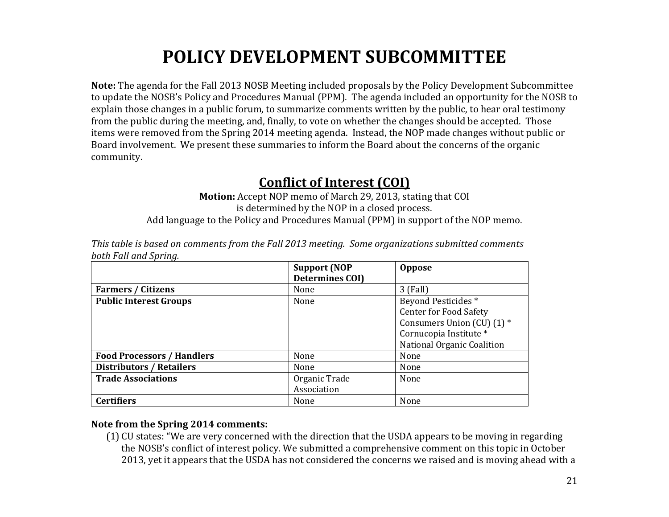## **POLICY DEVELOPMENT SUBCOMMITTEE**

**Note:** The agenda for the Fall 2013 NOSB Meeting included proposals by the Policy Development Subcommittee to update the NOSB's Policy and Procedures Manual (PPM). The agenda included an opportunity for the NOSB to explain those changes in a public forum, to summarize comments written by the public, to hear oral testimony from the public during the meeting, and, finally, to vote on whether the changes should be accepted. Those items were removed from the Spring 2014 meeting agenda. Instead, the NOP made changes without public or Board involvement. We present these summaries to inform the Board about the concerns of the organic community.

## **Conflict of Interest (COI)**

**Motion:** Accept NOP memo of March 29, 2013, stating that COI is determined by the NOP in a closed process. Add language to the Policy and Procedures Manual (PPM) in support of the NOP memo.

|                                   | <b>Support (NOP</b><br><b>Determines COI)</b> | <b>Oppose</b>                                                                                                                                           |
|-----------------------------------|-----------------------------------------------|---------------------------------------------------------------------------------------------------------------------------------------------------------|
| <b>Farmers / Citizens</b>         | None                                          | $3$ (Fall)                                                                                                                                              |
| <b>Public Interest Groups</b>     | None                                          | Beyond Pesticides <sup>*</sup><br><b>Center for Food Safety</b><br>Consumers Union (CU) $(1)$ *<br>Cornucopia Institute *<br>National Organic Coalition |
| <b>Food Processors / Handlers</b> | None                                          | None                                                                                                                                                    |
| <b>Distributors / Retailers</b>   | None                                          | None                                                                                                                                                    |
| <b>Trade Associations</b>         | Organic Trade<br>Association                  | None                                                                                                                                                    |
| <b>Certifiers</b>                 | None                                          | None                                                                                                                                                    |

*This table is based on comments from the Fall 2013 meeting. Some organizations submitted comments both Fall and Spring.* 

#### **Note from the Spring 2014 comments:**

(1) CU states: "We are very concerned with the direction that the USDA appears to be moving in regarding the NOSB's conflict of interest policy. We submitted a comprehensive comment on this topic in October 2013, yet it appears that the USDA has not considered the concerns we raised and is moving ahead with a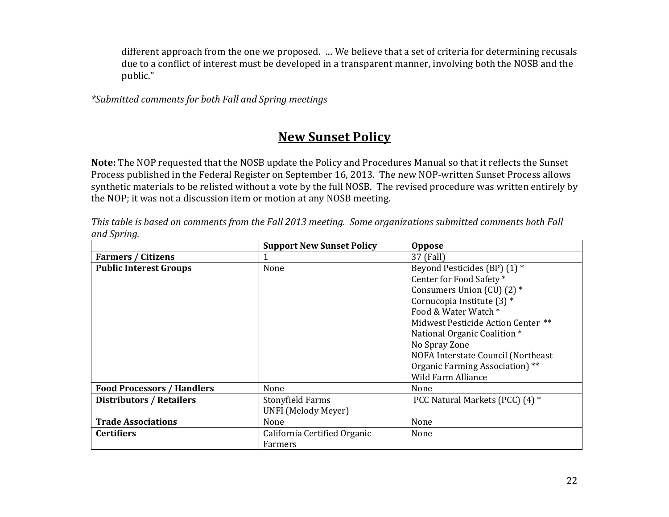different approach from the one we proposed. … We believe that a set of criteria for determining recusals due to a conflict of interest must be developed in a transparent manner, involving both the NOSB and the public."

*\*Submitted comments for both Fall and Spring meetings*

### **New Sunset Policy**

**Note:** The NOP requested that the NOSB update the Policy and Procedures Manual so that it reflects the Sunset Process published in the Federal Register on September 16, 2013. The new NOP-written Sunset Process allows synthetic materials to be relisted without a vote by the full NOSB. The revised procedure was written entirely by the NOP; it was not a discussion item or motion at any NOSB meeting.

|                                   | <b>Support New Sunset Policy</b> | <b>Oppose</b>                      |
|-----------------------------------|----------------------------------|------------------------------------|
| <b>Farmers / Citizens</b>         |                                  | 37 (Fall)                          |
| <b>Public Interest Groups</b>     | None                             | Beyond Pesticides (BP) (1) *       |
|                                   |                                  | Center for Food Safety *           |
|                                   |                                  | Consumers Union (CU) $(2)$ *       |
|                                   |                                  | Cornucopia Institute (3) *         |
|                                   |                                  | Food & Water Watch *               |
|                                   |                                  | Midwest Pesticide Action Center ** |
|                                   |                                  | National Organic Coalition *       |
|                                   |                                  | No Spray Zone                      |
|                                   |                                  | NOFA Interstate Council (Northeast |
|                                   |                                  | Organic Farming Association) **    |
|                                   |                                  | <b>Wild Farm Alliance</b>          |
| <b>Food Processors / Handlers</b> | None                             | None                               |
| <b>Distributors / Retailers</b>   | <b>Stonyfield Farms</b>          | PCC Natural Markets (PCC) (4) *    |
|                                   | <b>UNFI (Melody Meyer)</b>       |                                    |
| <b>Trade Associations</b>         | None                             | None                               |
| <b>Certifiers</b>                 | California Certified Organic     | None                               |
|                                   | Farmers                          |                                    |

*This table is based on comments from the Fall 2013 meeting. Some organizations submitted comments both Fall and Spring.*